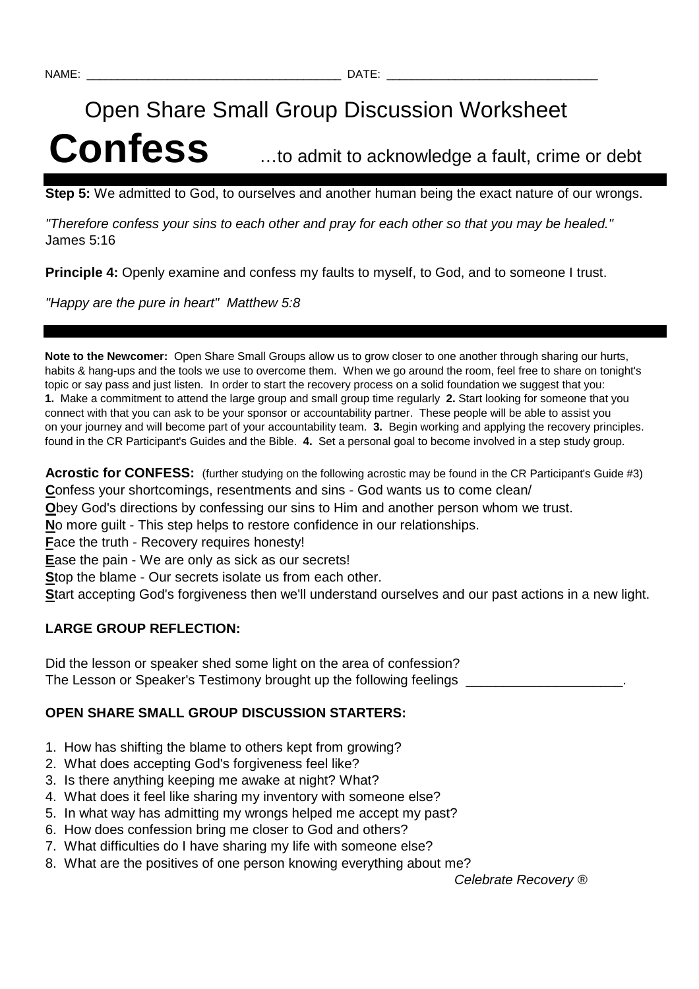# Open Share Small Group Discussion Worksheet **Confess** …to admit to acknowledge a fault, crime or debt

**Step 5:** We admitted to God, to ourselves and another human being the exact nature of our wrongs.

"Therefore confess your sins to each other and pray for each other so that you may be healed." James 5:16

**Principle 4:** Openly examine and confess my faults to myself, to God, and to someone I trust.

"Happy are the pure in heart" Matthew 5:8

**Note to the Newcomer:** Open Share Small Groups allow us to grow closer to one another through sharing our hurts, habits & hang-ups and the tools we use to overcome them. When we go around the room, feel free to share on tonight's topic or say pass and just listen. In order to start the recovery process on a solid foundation we suggest that you: **1.** Make a commitment to attend the large group and small group time regularly **2.** Start looking for someone that you connect with that you can ask to be your sponsor or accountability partner. These people will be able to assist you on your journey and will become part of your accountability team. **3.** Begin working and applying the recovery principles. found in the CR Participant's Guides and the Bible. **4.** Set a personal goal to become involved in a step study group.

**Acrostic for CONFESS:** (further studying on the following acrostic may be found in the CR Participant's Guide #3) **C**onfess your shortcomings, resentments and sins - God wants us to come clean/

**O**bey God's directions by confessing our sins to Him and another person whom we trust.

**N**o more guilt - This step helps to restore confidence in our relationships.

**F**ace the truth - Recovery requires honesty!

**E**ase the pain - We are only as sick as our secrets!

**S**top the blame - Our secrets isolate us from each other.

**S**tart accepting God's forgiveness then we'll understand ourselves and our past actions in a new light.

## **LARGE GROUP REFLECTION:**

Did the lesson or speaker shed some light on the area of confession? The Lesson or Speaker's Testimony brought up the following feelings

### **OPEN SHARE SMALL GROUP DISCUSSION STARTERS:**

- 1. How has shifting the blame to others kept from growing?
- 2. What does accepting God's forgiveness feel like?
- 3. Is there anything keeping me awake at night? What?
- 4. What does it feel like sharing my inventory with someone else?
- 5. In what way has admitting my wrongs helped me accept my past?
- 6. How does confession bring me closer to God and others?
- 7. What difficulties do I have sharing my life with someone else?
- 8. What are the positives of one person knowing everything about me?

Celebrate Recovery ®